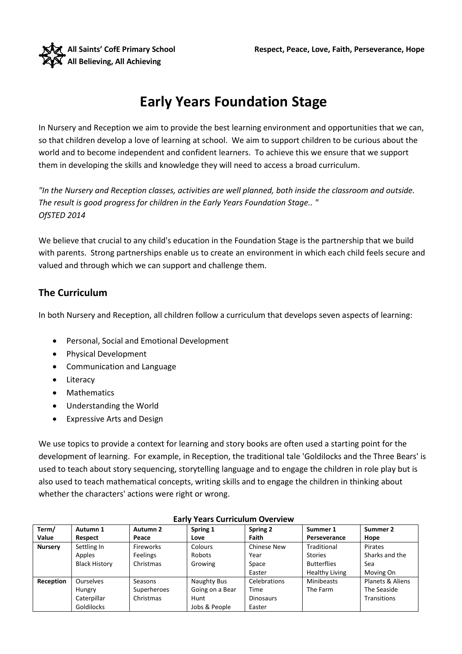

# **Early Years Foundation Stage**

In Nursery and Reception we aim to provide the best learning environment and opportunities that we can, so that children develop a love of learning at school. We aim to support children to be curious about the world and to become independent and confident learners. To achieve this we ensure that we support them in developing the skills and knowledge they will need to access a broad curriculum.

*"In the Nursery and Reception classes, activities are well planned, both inside the classroom and outside. The result is good progress for children in the Early Years Foundation Stage.. " OfSTED 2014* 

We believe that crucial to any child's education in the Foundation Stage is the partnership that we build with parents. Strong partnerships enable us to create an environment in which each child feels secure and valued and through which we can support and challenge them.

### **The Curriculum**

In both Nursery and Reception, all children follow a curriculum that develops seven aspects of learning:

- Personal, Social and Emotional Development
- Physical Development
- Communication and Language
- Literacy
- Mathematics
- Understanding the World
- Expressive Arts and Design

We use topics to provide a context for learning and story books are often used a starting point for the development of learning. For example, in Reception, the traditional tale 'Goldilocks and the Three Bears' is used to teach about story sequencing, storytelling language and to engage the children in role play but is also used to teach mathematical concepts, writing skills and to engage the children in thinking about whether the characters' actions were right or wrong.

| Term/          | Autumn 1             | Autumn 2    | Spring 1        | Spring 2           | Summer 1              | Summer 2           |
|----------------|----------------------|-------------|-----------------|--------------------|-----------------------|--------------------|
| Value          | Respect              | Peace       | Love            | Faith              | Perseverance          | Hope               |
| <b>Nursery</b> | Settling In          | Fireworks   | Colours         | <b>Chinese New</b> | Traditional           | Pirates            |
|                | Apples               | Feelings    | Robots          | Year               | <b>Stories</b>        | Sharks and the     |
|                | <b>Black History</b> | Christmas   | Growing         | Space              | <b>Butterflies</b>    | Sea                |
|                |                      |             |                 | Easter             | <b>Healthy Living</b> | Moving On          |
| Reception      | <b>Ourselves</b>     | Seasons     | Naughty Bus     | Celebrations       | <b>Minibeasts</b>     | Planets & Aliens   |
|                | Hungry               | Superheroes | Going on a Bear | Time               | The Farm              | The Seaside        |
|                | Caterpillar          | Christmas   | Hunt            | <b>Dinosaurs</b>   |                       | <b>Transitions</b> |
|                | <b>Goldilocks</b>    |             | Jobs & People   | Easter             |                       |                    |

#### **Early Years Curriculum Overview**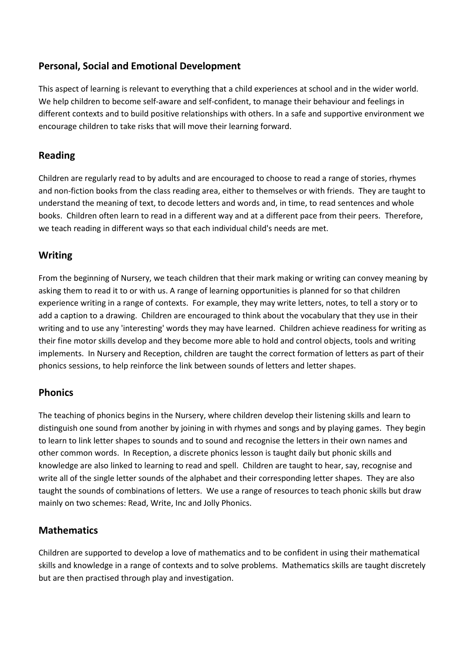### **Personal, Social and Emotional Development**

This aspect of learning is relevant to everything that a child experiences at school and in the wider world. We help children to become self-aware and self-confident, to manage their behaviour and feelings in different contexts and to build positive relationships with others. In a safe and supportive environment we encourage children to take risks that will move their learning forward.

#### **Reading**

Children are regularly read to by adults and are encouraged to choose to read a range of stories, rhymes and non-fiction books from the class reading area, either to themselves or with friends. They are taught to understand the meaning of text, to decode letters and words and, in time, to read sentences and whole books. Children often learn to read in a different way and at a different pace from their peers. Therefore, we teach reading in different ways so that each individual child's needs are met.

#### **Writing**

From the beginning of Nursery, we teach children that their mark making or writing can convey meaning by asking them to read it to or with us. A range of learning opportunities is planned for so that children experience writing in a range of contexts. For example, they may write letters, notes, to tell a story or to add a caption to a drawing. Children are encouraged to think about the vocabulary that they use in their writing and to use any 'interesting' words they may have learned. Children achieve readiness for writing as their fine motor skills develop and they become more able to hold and control objects, tools and writing implements. In Nursery and Reception, children are taught the correct formation of letters as part of their phonics sessions, to help reinforce the link between sounds of letters and letter shapes.

#### **Phonics**

The teaching of phonics begins in the Nursery, where children develop their listening skills and learn to distinguish one sound from another by joining in with rhymes and songs and by playing games. They begin to learn to link letter shapes to sounds and to sound and recognise the letters in their own names and other common words. In Reception, a discrete phonics lesson is taught daily but phonic skills and knowledge are also linked to learning to read and spell. Children are taught to hear, say, recognise and write all of the single letter sounds of the alphabet and their corresponding letter shapes. They are also taught the sounds of combinations of letters. We use a range of resources to teach phonic skills but draw mainly on two schemes: Read, Write, Inc and Jolly Phonics.

### **Mathematics**

Children are supported to develop a love of mathematics and to be confident in using their mathematical skills and knowledge in a range of contexts and to solve problems. Mathematics skills are taught discretely but are then practised through play and investigation.